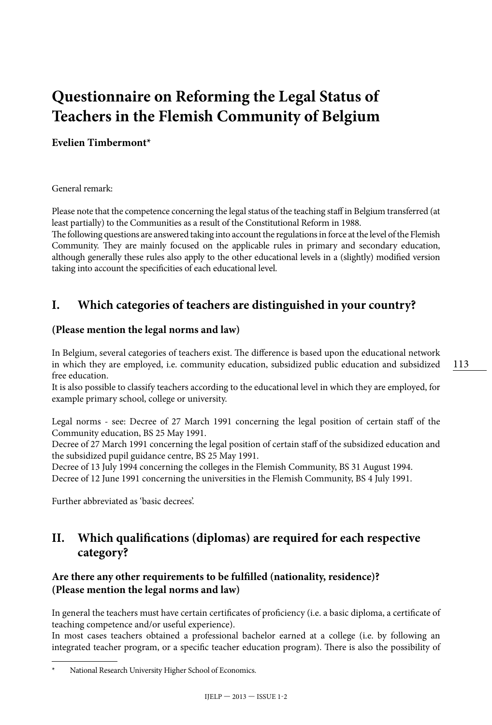## **Questionnaire on Reforming the Legal Status of Teachers in the Flemish Community of Belgium**

#### **Evelien Timbermont\***

General remark:

Please note that the competence concerning the legal status of the teaching staff in Belgium transferred (at least partially) to the Communities as a result of the Constitutional Reform in 1988.

The following questions are answered taking into account the regulations in force at the level of the Flemish Community. They are mainly focused on the applicable rules in primary and secondary education, although generally these rules also apply to the other educational levels in a (slightly) modified version taking into account the specificities of each educational level.

## **I. Which categories of teachers are distinguished in your country?**

#### **(Please mention the legal norms and law)**

In Belgium, several categories of teachers exist. The difference is based upon the educational network in which they are employed, i.e. community education, subsidized public education and subsidized free education.

It is also possible to classify teachers according to the educational level in which they are employed, for example primary school, college or university.

Legal norms - see: Decree of 27 March 1991 concerning the legal position of certain staff of the Community education, BS 25 May 1991.

Decree of 27 March 1991 concerning the legal position of certain staff of the subsidized education and the subsidized pupil guidance centre, BS 25 May 1991.

Decree of 13 July 1994 concerning the colleges in the Flemish Community, BS 31 August 1994. Decree of 12 June 1991 concerning the universities in the Flemish Community, BS 4 July 1991.

Further abbreviated as 'basic decrees'.

## **II. Which qualifications (diplomas) are required for each respective category?**

#### **Are there any other requirements to be fulfilled (nationality, residence)? (Please mention the legal norms and law)**

In general the teachers must have certain certificates of proficiency (i.e. a basic diploma, a certificate of teaching competence and/or useful experience).

In most cases teachers obtained a professional bachelor earned at a college (i.e. by following an integrated teacher program, or a specific teacher education program). There is also the possibility of

National Research University Higher School of Economics.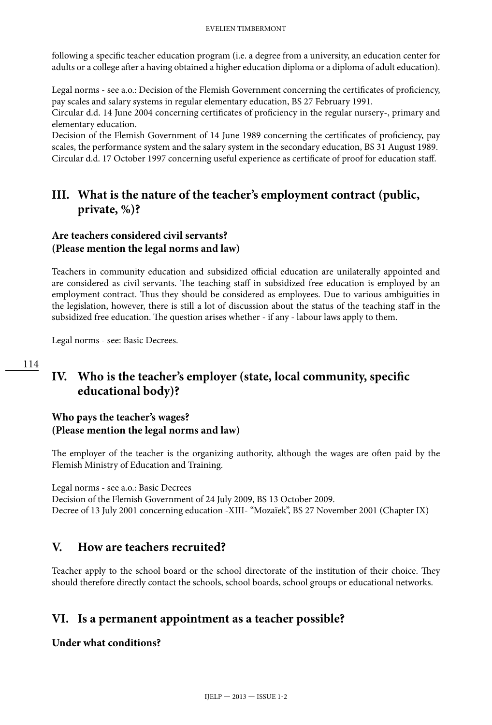following a specific teacher education program (i.e. a degree from a university, an education center for adults or a college after a having obtained a higher education diploma or a diploma of adult education).

Legal norms - see a.o.: Decision of the Flemish Government concerning the certificates of proficiency, pay scales and salary systems in regular elementary education, BS 27 February 1991.

Circular d.d. 14 June 2004 concerning certificates of proficiency in the regular nursery-, primary and elementary education.

Decision of the Flemish Government of 14 June 1989 concerning the certificates of proficiency, pay scales, the performance system and the salary system in the secondary education, BS 31 August 1989. Circular d.d. 17 October 1997 concerning useful experience as certificate of proof for education staff.

## **III. What is the nature of the teacher's employment contract (public, private, %)?**

#### **Are teachers considered civil servants? (Please mention the legal norms and law)**

Teachers in community education and subsidized official education are unilaterally appointed and are considered as civil servants. The teaching staff in subsidized free education is employed by an employment contract. Thus they should be considered as employees. Due to various ambiguities in the legislation, however, there is still a lot of discussion about the status of the teaching staff in the subsidized free education. The question arises whether - if any - labour laws apply to them.

Legal norms - see: Basic Decrees.

## **IV. Who is the teacher's employer (state, local community, specific educational body)?**

#### **Who pays the teacher's wages? (Please mention the legal norms and law)**

The employer of the teacher is the organizing authority, although the wages are often paid by the Flemish Ministry of Education and Training.

Legal norms - see a.o.: Basic Decrees

Decision of the Flemish Government of 24 July 2009, BS 13 October 2009. Decree of 13 July 2001 concerning education -XIII- "Mozaïek", BS 27 November 2001 (Chapter IX)

## **V. How are teachers recruited?**

Teacher apply to the school board or the school directorate of the institution of their choice. They should therefore directly contact the schools, school boards, school groups or educational networks.

## **VI. Is a permanent appointment as a teacher possible?**

**Under what conditions?**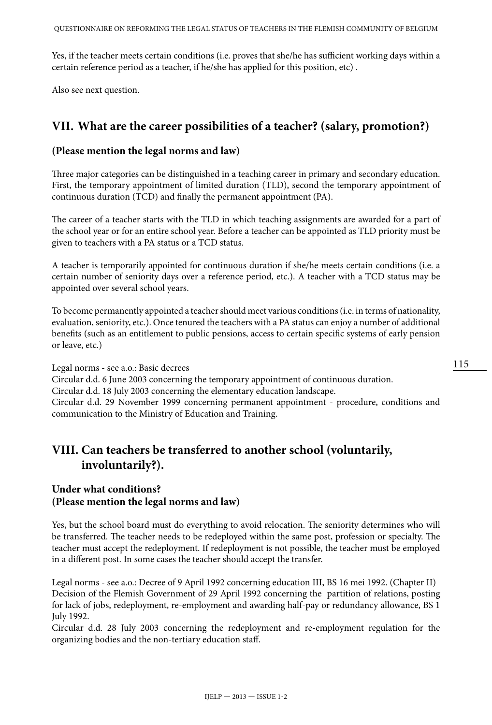Yes, if the teacher meets certain conditions (i.e. proves that she/he has sufficient working days within a certain reference period as a teacher, if he/she has applied for this position, etc) .

Also see next question.

### **VII. What are the career possibilities of a teacher? (salary, promotion?)**

#### **(Please mention the legal norms and law)**

Three major categories can be distinguished in a teaching career in primary and secondary education. First, the temporary appointment of limited duration (TLD), second the temporary appointment of continuous duration (TCD) and finally the permanent appointment (PA).

The career of a teacher starts with the TLD in which teaching assignments are awarded for a part of the school year or for an entire school year. Before a teacher can be appointed as TLD priority must be given to teachers with a PA status or a TCD status.

A teacher is temporarily appointed for continuous duration if she/he meets certain conditions (i.e. a certain number of seniority days over a reference period, etc.). A teacher with a TCD status may be appointed over several school years.

To become permanently appointed a teacher should meet various conditions (i.e. in terms of nationality, evaluation, seniority, etc.). Once tenured the teachers with a PA status can enjoy a number of additional benefits (such as an entitlement to public pensions, access to certain specific systems of early pension or leave, etc.)

Legal norms - see a.o.: Basic decrees

Circular d.d. 6 June 2003 concerning the temporary appointment of continuous duration.

Circular d.d. 18 July 2003 concerning the elementary education landscape.

Circular d.d. 29 November 1999 concerning permanent appointment - procedure, conditions and communication to the Ministry of Education and Training.

## **VIII. Can teachers be transferred to another school (voluntarily, involuntarily?).**

#### **Under what conditions? (Please mention the legal norms and law)**

Yes, but the school board must do everything to avoid relocation. The seniority determines who will be transferred. The teacher needs to be redeployed within the same post, profession or specialty. The teacher must accept the redeployment. If redeployment is not possible, the teacher must be employed in a different post. In some cases the teacher should accept the transfer.

Legal norms - see a.o.: Decree of 9 April 1992 concerning education III, BS 16 mei 1992. (Chapter II) Decision of the Flemish Government of 29 April 1992 concerning the partition of relations, posting for lack of jobs, redeployment, re-employment and awarding half-pay or redundancy allowance, BS 1 July 1992.

Circular d.d. 28 July 2003 concerning the redeployment and re-employment regulation for the organizing bodies and the non-tertiary education staff.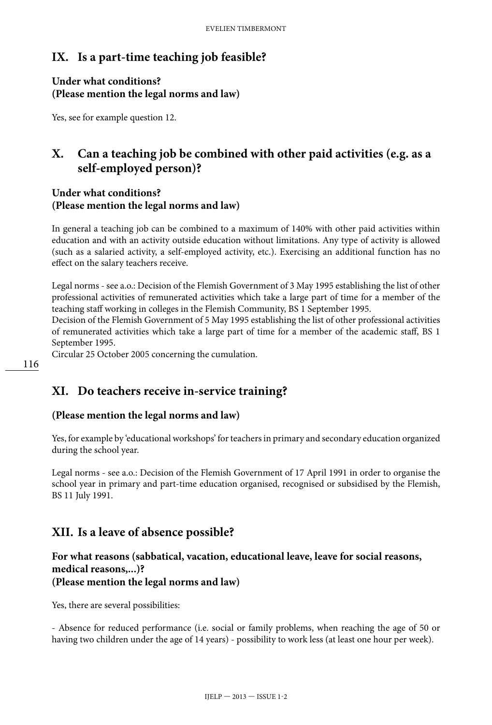## **IX. Is a part-time teaching job feasible?**

#### **Under what conditions? (Please mention the legal norms and law)**

Yes, see for example question 12.

## **X. Can a teaching job be combined with other paid activities (e.g. as a self-employed person)?**

#### **Under what conditions? (Please mention the legal norms and law)**

In general a teaching job can be combined to a maximum of 140% with other paid activities within education and with an activity outside education without limitations. Any type of activity is allowed (such as a salaried activity, a self-employed activity, etc.). Exercising an additional function has no effect on the salary teachers receive.

Legal norms - see a.o.: Decision of the Flemish Government of 3 May 1995 establishing the list of other professional activities of remunerated activities which take a large part of time for a member of the teaching staff working in colleges in the Flemish Community, BS 1 September 1995.

Decision of the Flemish Government of 5 May 1995 establishing the list of other professional activities of remunerated activities which take a large part of time for a member of the academic staff, BS 1 September 1995.

Circular 25 October 2005 concerning the cumulation.

## **XI. Do teachers receive in-service training?**

#### **(Please mention the legal norms and law)**

Yes, for example by 'educational workshops' for teachers in primary and secondary education organized during the school year.

Legal norms - see a.o.: Decision of the Flemish Government of 17 April 1991 in order to organise the school year in primary and part-time education organised, recognised or subsidised by the Flemish, BS 11 July 1991.

## **XII. Is a leave of absence possible?**

#### **For what reasons (sabbatical, vacation, educational leave, leave for social reasons, medical reasons,...)? (Please mention the legal norms and law)**

Yes, there are several possibilities:

- Absence for reduced performance (i.e. social or family problems, when reaching the age of 50 or having two children under the age of 14 years) - possibility to work less (at least one hour per week).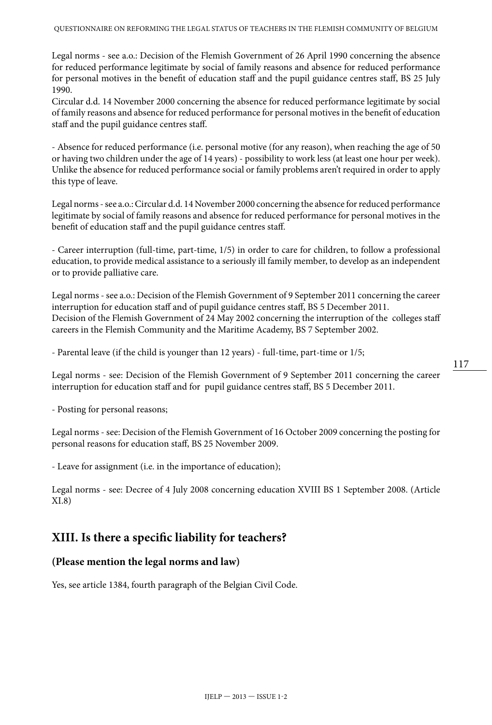Legal norms - see a.o.: Decision of the Flemish Government of 26 April 1990 concerning the absence for reduced performance legitimate by social of family reasons and absence for reduced performance for personal motives in the benefit of education staff and the pupil guidance centres staff, BS 25 July 1990.

Circular d.d. 14 November 2000 concerning the absence for reduced performance legitimate by social of family reasons and absence for reduced performance for personal motives in the benefit of education staff and the pupil guidance centres staff.

- Absence for reduced performance (i.e. personal motive (for any reason), when reaching the age of 50 or having two children under the age of 14 years) - possibility to work less (at least one hour per week). Unlike the absence for reduced performance social or family problems aren't required in order to apply this type of leave.

Legal norms - see a.o.: Circular d.d. 14 November 2000 concerning the absence for reduced performance legitimate by social of family reasons and absence for reduced performance for personal motives in the benefit of education staff and the pupil guidance centres staff.

- Career interruption (full-time, part-time, 1/5) in order to care for children, to follow a professional education, to provide medical assistance to a seriously ill family member, to develop as an independent or to provide palliative care.

Legal norms - see a.o.: Decision of the Flemish Government of 9 September 2011 concerning the career interruption for education staff and of pupil guidance centres staff, BS 5 December 2011. Decision of the Flemish Government of 24 May 2002 concerning the interruption of the colleges staff careers in the Flemish Community and the Maritime Academy, BS 7 September 2002.

- Parental leave (if the child is younger than 12 years) - full-time, part-time or 1/5;

Legal norms - see: Decision of the Flemish Government of 9 September 2011 concerning the career interruption for education staff and for pupil guidance centres staff, BS 5 December 2011.

- Posting for personal reasons;

Legal norms - see: Decision of the Flemish Government of 16 October 2009 concerning the posting for personal reasons for education staff, BS 25 November 2009.

- Leave for assignment (i.e. in the importance of education);

Legal norms - see: Decree of 4 July 2008 concerning education XVIII BS 1 September 2008. (Article XI.8)

#### **XIII. Is there a specific liability for teachers?**

#### **(Please mention the legal norms and law)**

Yes, see article 1384, fourth paragraph of the Belgian Civil Code.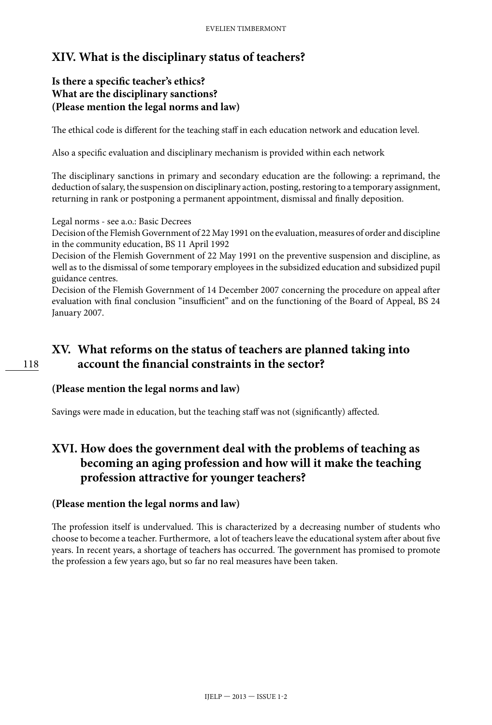## **XIV. What is the disciplinary status of teachers?**

#### **Is there a specific teacher's ethics? What are the disciplinary sanctions? (Please mention the legal norms and law)**

The ethical code is different for the teaching staff in each education network and education level.

Also a specific evaluation and disciplinary mechanism is provided within each network

The disciplinary sanctions in primary and secondary education are the following: a reprimand, the deduction of salary, the suspension on disciplinary action, posting, restoring to a temporary assignment, returning in rank or postponing a permanent appointment, dismissal and finally deposition.

Legal norms - see a.o.: Basic Decrees

Decision of the Flemish Government of 22 May 1991 on the evaluation, measures of order and discipline in the community education, BS 11 April 1992

Decision of the Flemish Government of 22 May 1991 on the preventive suspension and discipline, as well as to the dismissal of some temporary employees in the subsidized education and subsidized pupil guidance centres.

Decision of the Flemish Government of 14 December 2007 concerning the procedure on appeal after evaluation with final conclusion "insufficient" and on the functioning of the Board of Appeal, BS 24 January 2007.

## **XV. What reforms on the status of teachers are planned taking into account the financial constraints in the sector?**

#### **(Please mention the legal norms and law)**

Savings were made in education, but the teaching staff was not (significantly) affected.

## **XVI. How does the government deal with the problems of teaching as becoming an aging profession and how will it make the teaching profession attractive for younger teachers?**

#### **(Please mention the legal norms and law)**

The profession itself is undervalued. This is characterized by a decreasing number of students who choose to become a teacher. Furthermore, a lot of teachers leave the educational system after about five years. In recent years, a shortage of teachers has occurred. The government has promised to promote the profession a few years ago, but so far no real measures have been taken.